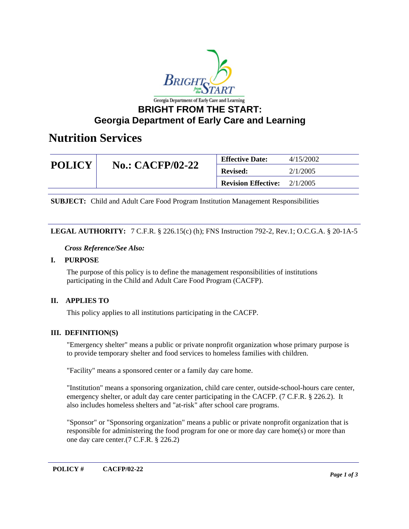

### **Georgia Department of Early Care and Learning**

## **Nutrition Services**

| <b>POLICY</b> | <b>No.: CACFP/02-22</b> | <b>Effective Date:</b>     | 4/15/2002 |
|---------------|-------------------------|----------------------------|-----------|
|               |                         | <b>Revised:</b>            | 2/1/2005  |
|               |                         | <b>Revision Effective:</b> | 2/1/2005  |

**SUBJECT:** Child and Adult Care Food Program Institution Management Responsibilities

### **LEGAL AUTHORITY:** 7 C.F.R. § 226.15(c) (h); FNS Instruction 792-2, Rev.1; O.C.G.A. § 20-1A-5

*Cross Reference/See Also:*

#### **I. PURPOSE**

The purpose of this policy is to define the management responsibilities of institutions participating in the Child and Adult Care Food Program (CACFP).

### **II. APPLIES TO**

This policy applies to all institutions participating in the CACFP.

### **III. DEFINITION(S)**

"Emergency shelter" means a public or private nonprofit organization whose primary purpose is to provide temporary shelter and food services to homeless families with children.

"Facility" means a sponsored center or a family day care home.

"Institution" means a sponsoring organization, child care center, outside-school-hours care center, emergency shelter, or adult day care center participating in the CACFP. (7 C.F.R. § 226.2). It also includes homeless shelters and "at-risk" after school care programs.

"Sponsor" or "Sponsoring organization" means a public or private nonprofit organization that is responsible for administering the food program for one or more day care home(s) or more than one day care center.(7 C.F.R. § 226.2)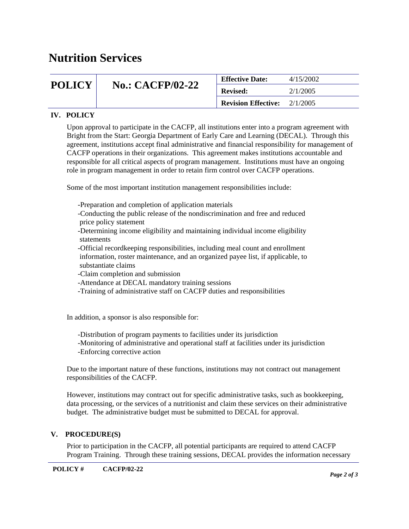# **Nutrition Services**

| <b>POLICY</b> | <b>No.: CACFP/02-22</b> | <b>Effective Date:</b>     | 4/15/2002 |
|---------------|-------------------------|----------------------------|-----------|
|               |                         | <b>Revised:</b>            | 2/1/2005  |
|               |                         | <b>Revision Effective:</b> | 2/1/2005  |

### **IV. POLICY**

Upon approval to participate in the CACFP, all institutions enter into a program agreement with Bright from the Start: Georgia Department of Early Care and Learning (DECAL). Through this agreement, institutions accept final administrative and financial responsibility for management of CACFP operations in their organizations. This agreement makes institutions accountable and responsible for all critical aspects of program management. Institutions must have an ongoing role in program management in order to retain firm control over CACFP operations.

Some of the most important institution management responsibilities include:

-Preparation and completion of application materials

 -Conducting the public release of the nondiscrimination and free and reduced price policy statement

 -Determining income eligibility and maintaining individual income eligibility statements

 -Official recordkeeping responsibilities, including meal count and enrollment information, roster maintenance, and an organized payee list, if applicable, to substantiate claims

-Claim completion and submission

-Attendance at DECAL mandatory training sessions

-Training of administrative staff on CACFP duties and responsibilities

In addition, a sponsor is also responsible for:

-Distribution of program payments to facilities under its jurisdiction

 -Monitoring of administrative and operational staff at facilities under its jurisdiction -Enforcing corrective action

Due to the important nature of these functions, institutions may not contract out management responsibilities of the CACFP.

However, institutions may contract out for specific administrative tasks, such as bookkeeping, data processing, or the services of a nutritionist and claim these services on their administrative budget. The administrative budget must be submitted to DECAL for approval.

#### **V. PROCEDURE(S)**

Prior to participation in the CACFP, all potential participants are required to attend CACFP Program Training. Through these training sessions, DECAL provides the information necessary